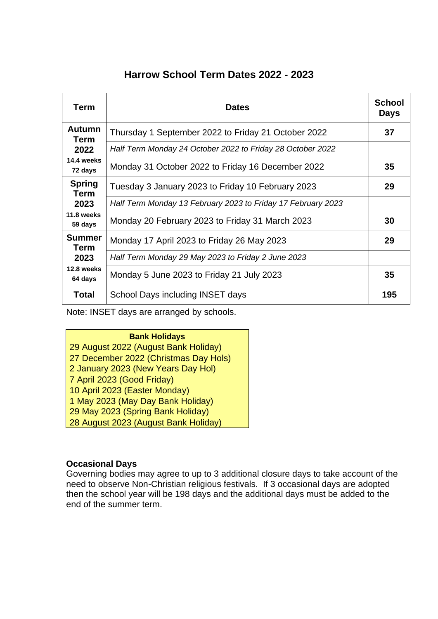## **Harrow School Term Dates 2022 - 2023**

| Term                  | <b>Dates</b>                                                 | <b>School</b><br><b>Days</b> |
|-----------------------|--------------------------------------------------------------|------------------------------|
| <b>Autumn</b><br>Term | Thursday 1 September 2022 to Friday 21 October 2022          | 37                           |
| 2022                  | Half Term Monday 24 October 2022 to Friday 28 October 2022   |                              |
| 14.4 weeks<br>72 days | Monday 31 October 2022 to Friday 16 December 2022            | 35                           |
| <b>Spring</b><br>Term | Tuesday 3 January 2023 to Friday 10 February 2023            | 29                           |
| 2023                  | Half Term Monday 13 February 2023 to Friday 17 February 2023 |                              |
| 11.8 weeks<br>59 days | Monday 20 February 2023 to Friday 31 March 2023              | 30                           |
| <b>Summer</b><br>Term | Monday 17 April 2023 to Friday 26 May 2023                   | 29                           |
| 2023                  | Half Term Monday 29 May 2023 to Friday 2 June 2023           |                              |
| 12.8 weeks<br>64 days | Monday 5 June 2023 to Friday 21 July 2023                    | 35                           |
| <b>Total</b>          | School Days including INSET days                             | 195                          |

Note: INSET days are arranged by schools.

**Bank Holidays** 29 August 2022 (August Bank Holiday) 27 December 2022 (Christmas Day Hols) 2 January 2023 (New Years Day Hol) 7 April 2023 (Good Friday) 10 April 2023 (Easter Monday) 1 May 2023 (May Day Bank Holiday) 29 May 2023 (Spring Bank Holiday) 28 August 2023 (August Bank Holiday)

## **Occasional Days**

Governing bodies may agree to up to 3 additional closure days to take account of the need to observe Non-Christian religious festivals. If 3 occasional days are adopted then the school year will be 198 days and the additional days must be added to the end of the summer term.